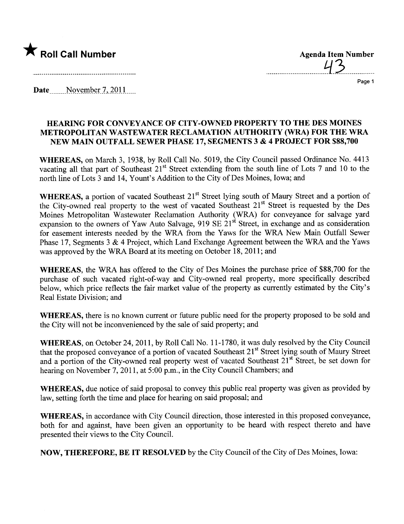

...............................4.3...........\_....

Page 1

Date \_\_ \_\_\_\_.N QY~mR~r-.7 -'. .~9l-\_\_\_\_

## HEARING FOR CONVEYANCE OF CITY-OWNED PROPERTY TO THE DES MOINES METROPOLITAN WASTEWATER RECLAMATION AUTHORITY (WRA) FOR THE WRA NEW MAIN OUTFALL SEWER PHASE 17, SEGMENTS 3 & 4 PROJECT FOR \$88,700

WHEREAS, on March 3, 1938, by Roll Call No. 5019, the City Council passed Ordinance No. 4413 vacating all that part of Southeast  $21<sup>st</sup>$  Street extending from the south line of Lots 7 and 10 to the north line of Lots 3 and 14, Yount's Addition to the City of Des Moines, Iowa; and

WHEREAS, a portion of vacated Southeast 21<sup>st</sup> Street lying south of Maury Street and a portion of the City-owned real property to the west of vacated Southeast 21<sup>st</sup> Street is requested by the Des Moines Metropolitan Wastewater Reclamation Authority (WRA) for conveyance for salvage yard expansion to the owners of Yaw Auto Salvage, 919 SE 21<sup>st</sup> Street, in exchange and as consideration for easement interests needed by the WRA from the Yaws for the WRA New Main Outfall Sewer Phase 17, Segments 3 & 4 Project, which Land Exchange Agreement between the WRA and the Yaws was approved by the WRA Board at its meeting on October 18, 2011; and

WHEREAS, the WRA has offered to the City of Des Moines the purchase price of \$88,700 for the purchase of such vacated right-of-way and City-owned real property, more specifically described below, which price reflects the fair market value of the property as curently estimated by the City's Real Estate Division; and

WHEREAS, there is no known curent or future public need for the property proposed to be sold and the City will not be inconvenienced by the sale of said property; and

WHEREAS, on October 24,2011, by Roll Call No.1 1-1780, it was duly resolved by the City Council that the proposed conveyance of a portion of vacated Southeast 21st Street lying south of Maury Street and a portion of the City-owned real property west of vacated Southeast 21<sup>st</sup> Street, be set down for hearing on November 7, 2011, at 5:00 p.m., in the City Council Chambers; and

WHEREAS, due notice of said proposal to convey this public real property was given as provided by law, setting forth the time and place for hearing on said proposal; and

WHEREAS, in accordance with City Council direction, those interested in this proposed conveyance, both for and against, have been given an opportunity to be heard with respect thereto and have presented their views to the City CounciL.

NOW, THEREFORE, BE IT RESOLVED by the City Council of the City of Des Moines, Iowa: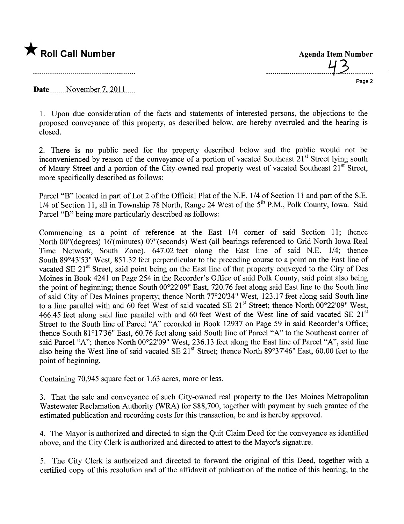

.........-.......................t-3.............

Page 2

Date  $\sim$  November 7, 2011

1. Upon due consideration of the facts and statements of interested persons, the objections to the proposed conveyance of this property, as described below, are hereby overruled and the hearing is closed.

2. There is no public need for the property described below and the public would not be inconvenienced by reason of the conveyance of a portion of vacated Southeast 21<sup>st</sup> Street lying south of Maury Street and a portion of the City-owned real property west of vacated Southeast 21<sup>st</sup> Street, more specifically described as follows:

Parcel "B" located in part of Lot 2 of the Official Plat of the N.E. 1/4 of Section 11 and part of the S.E. 1/4 of Section 11, all in Township 78 North, Range 24 West of the  $5<sup>th</sup>$  P.M., Polk County, Iowa. Said Parcel "B" being more particularly described as follows:

Commencing as a point of reference at the East  $1/4$  corner of said Section 11; thence North 00°(degrees) 16'(minutes) 07"(seconds) West (all bearings referenced to Grid North Iowa Real Time Network, South Zone), 647.02 feet along the East line of said N.E. 1/4; thence South 89°43'53" West, 851.32 feet perpendicular to the preceding course to a point on the East line of vacated SE 21<sup>st</sup> Street, said point being on the East line of that property conveyed to the City of Des Moines in Book 4241 on Page 254 in the Recorder's Office of said Polk County, said point also being the point of beginning; thence South 00°22'09" East, 720.76 feet along said East line to the South line of said City of Des Moines property; thence North 77°20'34" West, 123.17 feet along said South line to a line parallel with and 60 feet West of said vacated SE 21<sup>st</sup> Street; thence North 00°22'09" West, 466.45 feet along said line parallel with and 60 feet West of the West line of said vacated SE  $21^{st}$ Street to the South line of Parcel "A" recorded in Book 12937 on Page 59 in said Recorder's Office; thence South 81°17'36" East, 60.76 feet along said South line of Parcel "A" to the Southeast comer of said Parcel "A"; thence North 00°22'09" West, 236.13 feet along the East line of Parcel "A", said line also being the West line of said vacated SE 21<sup>st</sup> Street; thence North 89°37'46" East, 60.00 feet to the point of beginning.

Containing 70,945 square feet or 1.63 acres, more or less.

3. That the sale and conveyance of such City-owned real property to the Des Moines Metropolitan Wastewater Reclamation Authority (WRA) for \$88,700, together with payment by such grantee of the estimated publication and recording costs for this transaction, be and is hereby approved.

4. The Mayor is authorized and directed to sign the Quit Claim Deed for the conveyance as identified above, and the City Clerk is authorized and directed to attest to the Mayor's signature.

5. The City Clerk is authorized and directed to forward the original of this Deed, together with a certified copy of this resolution and of the affdavit of publication of the notice of this hearing, to the